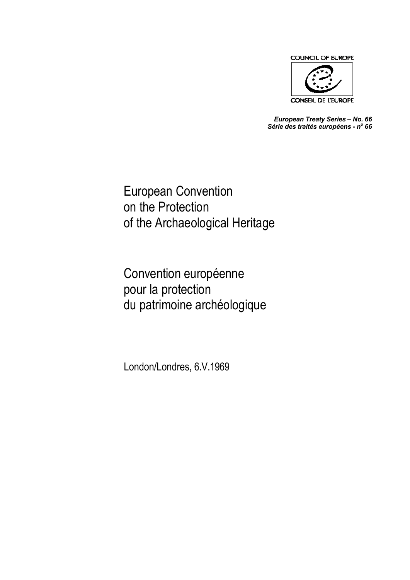

*European Treaty Series – No. 66 Série des traités européens - n o 66*

European Convention on the Protection of the Archaeological Heritage

Convention européenne pour la protection du patrimoine archéologique

London/Londres, 6.V.1969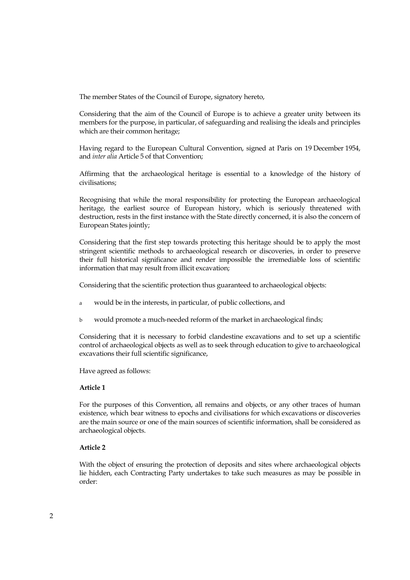The member States of the Council of Europe, signatory hereto,

Considering that the aim of the Council of Europe is to achieve a greater unity between its members for the purpose, in particular, of safeguarding and realising the ideals and principles which are their common heritage;

Having regard to the European Cultural Convention, signed at Paris on 19 December 1954, and *inter alia* Article 5 of that Convention;

Affirming that the archaeological heritage is essential to a knowledge of the history of civilisations;

Recognising that while the moral responsibility for protecting the European archaeological heritage, the earliest source of European history, which is seriously threatened with destruction, rests in the first instance with the State directly concerned, it is also the concern of European States jointly;

Considering that the first step towards protecting this heritage should be to apply the most stringent scientific methods to archaeological research or discoveries, in order to preserve their full historical significance and render impossible the irremediable loss of scientific information that may result from illicit excavation;

Considering that the scientific protection thus guaranteed to archaeological objects:

- a would be in the interests, in particular, of public collections, and
- b would promote a much-needed reform of the market in archaeological finds;

Considering that it is necessary to forbid clandestine excavations and to set up a scientific control of archaeological objects as well as to seek through education to give to archaeological excavations their full scientific significance,

Have agreed as follows:

## **Article 1**

For the purposes of this Convention, all remains and objects, or any other traces of human existence, which bear witness to epochs and civilisations for which excavations or discoveries are the main source or one of the main sources of scientific information, shall be considered as archaeological objects.

#### **Article 2**

With the object of ensuring the protection of deposits and sites where archaeological objects lie hidden, each Contracting Party undertakes to take such measures as may be possible in order: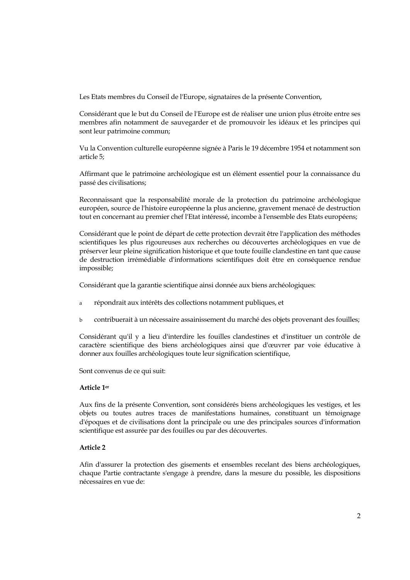Les Etats membres du Conseil de l'Europe, signataires de la présente Convention,

Considérant que le but du Conseil de l'Europe est de réaliser une union plus étroite entre ses membres afin notamment de sauvegarder et de promouvoir les idéaux et les principes qui sont leur patrimoine commun;

Vu la Convention culturelle européenne signée à Paris le 19 décembre 1954 et notamment son article 5;

Affirmant que le patrimoine archéologique est un élément essentiel pour la connaissance du passé des civilisations;

Reconnaissant que la responsabilité morale de la protection du patrimoine archéologique européen, source de l'histoire européenne la plus ancienne, gravement menacé de destruction tout en concernant au premier chef l'Etat intéressé, incombe à l'ensemble des Etats européens;

Considérant que le point de départ de cette protection devrait être l'application des méthodes scientifiques les plus rigoureuses aux recherches ou découvertes archéologiques en vue de préserver leur pleine signification historique et que toute fouille clandestine en tant que cause de destruction irrémédiable d'informations scientifiques doit être en conséquence rendue impossible;

Considérant que la garantie scientifique ainsi donnée aux biens archéologiques:

- a répondrait aux intérêts des collections notamment publiques, et
- b contribuerait à un nécessaire assainissement du marché des objets provenant des fouilles;

Considérant qu'il y a lieu d'interdire les fouilles clandestines et d'instituer un contrôle de caractère scientifique des biens archéologiques ainsi que d'œuvrer par voie éducative à donner aux fouilles archéologiques toute leur signification scientifique,

Sont convenus de ce qui suit:

#### **Article 1er**

Aux fins de la présente Convention, sont considérés biens archéologiques les vestiges, et les objets ou toutes autres traces de manifestations humaines, constituant un témoignage d'époques et de civilisations dont la principale ou une des principales sources d'information scientifique est assurée par des fouilles ou par des découvertes.

### **Article 2**

Afin d'assurer la protection des gisements et ensembles recelant des biens archéologiques, chaque Partie contractante s'engage à prendre, dans la mesure du possible, les dispositions nécessaires en vue de: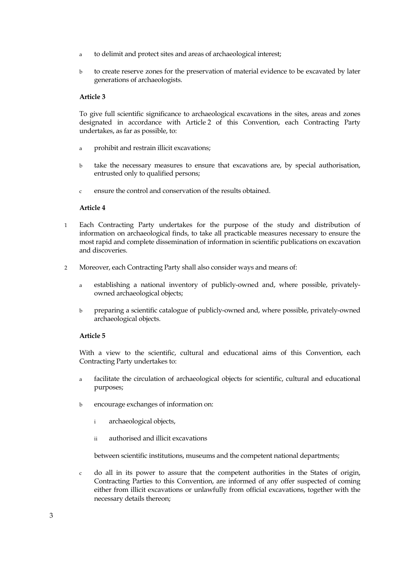- a to delimit and protect sites and areas of archaeological interest;
- b to create reserve zones for the preservation of material evidence to be excavated by later generations of archaeologists.

To give full scientific significance to archaeological excavations in the sites, areas and zones designated in accordance with Article 2 of this Convention, each Contracting Party undertakes, as far as possible, to:

- a prohibit and restrain illicit excavations;
- b take the necessary measures to ensure that excavations are, by special authorisation, entrusted only to qualified persons;
- c ensure the control and conservation of the results obtained.

## **Article 4**

- 1 Each Contracting Party undertakes for the purpose of the study and distribution of information on archaeological finds, to take all practicable measures necessary to ensure the most rapid and complete dissemination of information in scientific publications on excavation and discoveries.
- 2 Moreover, each Contracting Party shall also consider ways and means of:
	- a establishing a national inventory of publicly-owned and, where possible, privatelyowned archaeological objects;
	- b preparing a scientific catalogue of publicly-owned and, where possible, privately-owned archaeological objects.

# **Article 5**

With a view to the scientific, cultural and educational aims of this Convention, each Contracting Party undertakes to:

- a facilitate the circulation of archaeological objects for scientific, cultural and educational purposes;
- b encourage exchanges of information on:
	- i archaeological objects,
	- ii authorised and illicit excavations

between scientific institutions, museums and the competent national departments;

c do all in its power to assure that the competent authorities in the States of origin, Contracting Parties to this Convention, are informed of any offer suspected of coming either from illicit excavations or unlawfully from official excavations, together with the necessary details thereon;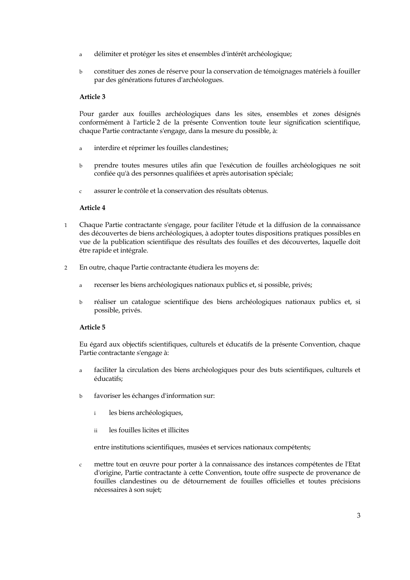- a délimiter et protéger les sites et ensembles d'intérêt archéologique;
- b constituer des zones de réserve pour la conservation de témoignages matériels à fouiller par des générations futures d'archéologues.

Pour garder aux fouilles archéologiques dans les sites, ensembles et zones désignés conformément à l'article 2 de la présente Convention toute leur signification scientifique, chaque Partie contractante s'engage, dans la mesure du possible, à:

- a interdire et réprimer les fouilles clandestines;
- b prendre toutes mesures utiles afin que l'exécution de fouilles archéologiques ne soit confiée qu'à des personnes qualifiées et après autorisation spéciale;
- c assurer le contrôle et la conservation des résultats obtenus.

## **Article 4**

- 1 Chaque Partie contractante s'engage, pour faciliter l'étude et la diffusion de la connaissance des découvertes de biens archéologiques, à adopter toutes dispositions pratiques possibles en vue de la publication scientifique des résultats des fouilles et des découvertes, laquelle doit être rapide et intégrale.
- 2 En outre, chaque Partie contractante étudiera les moyens de:
	- a recenser les biens archéologiques nationaux publics et, si possible, privés;
	- b réaliser un catalogue scientifique des biens archéologiques nationaux publics et, si possible, privés.

### **Article 5**

Eu égard aux objectifs scientifiques, culturels et éducatifs de la présente Convention, chaque Partie contractante s'engage à:

- a faciliter la circulation des biens archéologiques pour des buts scientifiques, culturels et éducatifs;
- b favoriser les échanges d'information sur:
	- i les biens archéologiques,
	- ii les fouilles licites et illicites

entre institutions scientifiques, musées et services nationaux compétents;

c mettre tout en œuvre pour porter à la connaissance des instances compétentes de l'Etat d'origine, Partie contractante à cette Convention, toute offre suspecte de provenance de fouilles clandestines ou de détournement de fouilles officielles et toutes précisions nécessaires à son sujet;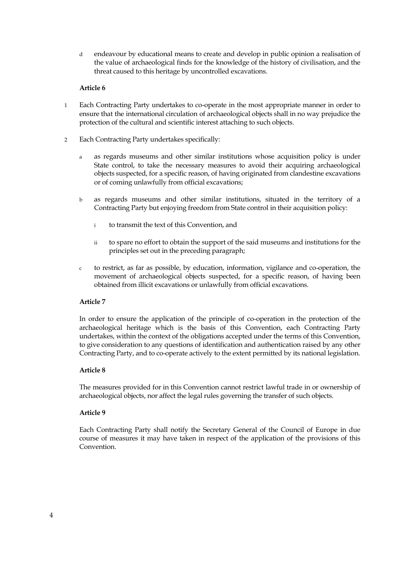d endeavour by educational means to create and develop in public opinion a realisation of the value of archaeological finds for the knowledge of the history of civilisation, and the threat caused to this heritage by uncontrolled excavations.

## **Article 6**

- 1 Each Contracting Party undertakes to co-operate in the most appropriate manner in order to ensure that the international circulation of archaeological objects shall in no way prejudice the protection of the cultural and scientific interest attaching to such objects.
- 2 Each Contracting Party undertakes specifically:
	- a as regards museums and other similar institutions whose acquisition policy is under State control, to take the necessary measures to avoid their acquiring archaeological objects suspected, for a specific reason, of having originated from clandestine excavations or of coming unlawfully from official excavations;
	- b as regards museums and other similar institutions, situated in the territory of a Contracting Party but enjoying freedom from State control in their acquisition policy:
		- i to transmit the text of this Convention, and
		- ii to spare no effort to obtain the support of the said museums and institutions for the principles set out in the preceding paragraph;
	- c to restrict, as far as possible, by education, information, vigilance and co-operation, the movement of archaeological objects suspected, for a specific reason, of having been obtained from illicit excavations or unlawfully from official excavations.

### **Article 7**

In order to ensure the application of the principle of co-operation in the protection of the archaeological heritage which is the basis of this Convention, each Contracting Party undertakes, within the context of the obligations accepted under the terms of this Convention, to give consideration to any questions of identification and authentication raised by any other Contracting Party, and to co-operate actively to the extent permitted by its national legislation.

### **Article 8**

The measures provided for in this Convention cannot restrict lawful trade in or ownership of archaeological objects, nor affect the legal rules governing the transfer of such objects.

### **Article 9**

Each Contracting Party shall notify the Secretary General of the Council of Europe in due course of measures it may have taken in respect of the application of the provisions of this Convention.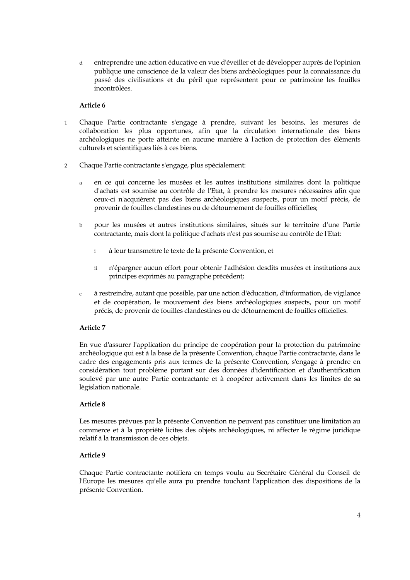d entreprendre une action éducative en vue d'éveiller et de développer auprès de l'opinion publique une conscience de la valeur des biens archéologiques pour la connaissance du passé des civilisations et du péril que représentent pour ce patrimoine les fouilles incontrôlées.

## **Article 6**

- 1 Chaque Partie contractante s'engage à prendre, suivant les besoins, les mesures de collaboration les plus opportunes, afin que la circulation internationale des biens archéologiques ne porte atteinte en aucune manière à l'action de protection des éléments culturels et scientifiques liés à ces biens.
- 2 Chaque Partie contractante s'engage, plus spécialement:
	- a en ce qui concerne les musées et les autres institutions similaires dont la politique d'achats est soumise au contrôle de l'Etat, à prendre les mesures nécessaires afin que ceux-ci n'acquièrent pas des biens archéologiques suspects, pour un motif précis, de provenir de fouilles clandestines ou de détournement de fouilles officielles;
	- b pour les musées et autres institutions similaires, situés sur le territoire d'une Partie contractante, mais dont la politique d'achats n'est pas soumise au contrôle de l'Etat:
		- i à leur transmettre le texte de la présente Convention, et
		- ii n'épargner aucun effort pour obtenir l'adhésion desdits musées et institutions aux principes exprimés au paragraphe précédent;
	- c à restreindre, autant que possible, par une action d'éducation, d'information, de vigilance et de coopération, le mouvement des biens archéologiques suspects, pour un motif précis, de provenir de fouilles clandestines ou de détournement de fouilles officielles.

### **Article 7**

En vue d'assurer l'application du principe de coopération pour la protection du patrimoine archéologique qui est à la base de la présente Convention, chaque Partie contractante, dans le cadre des engagements pris aux termes de la présente Convention, s'engage à prendre en considération tout problème portant sur des données d'identification et d'authentification soulevé par une autre Partie contractante et à coopérer activement dans les limites de sa législation nationale.

### **Article 8**

Les mesures prévues par la présente Convention ne peuvent pas constituer une limitation au commerce et à la propriété licites des objets archéologiques, ni affecter le régime juridique relatif à la transmission de ces objets.

### **Article 9**

Chaque Partie contractante notifiera en temps voulu au Secrétaire Général du Conseil de l'Europe les mesures qu'elle aura pu prendre touchant l'application des dispositions de la présente Convention.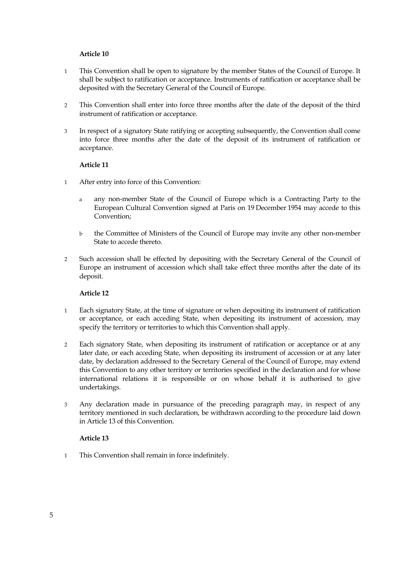- 1 This Convention shall be open to signature by the member States of the Council of Europe. It shall be subject to ratification or acceptance. Instruments of ratification or acceptance shall be deposited with the Secretary General of the Council of Europe.
- 2 This Convention shall enter into force three months after the date of the deposit of the third instrument of ratification or acceptance.
- 3 In respect of a signatory State ratifying or accepting subsequently, the Convention shall come into force three months after the date of the deposit of its instrument of ratification or acceptance.

# **Article 11**

- 1 After entry into force of this Convention:
	- a any non-member State of the Council of Europe which is a Contracting Party to the European Cultural Convention signed at Paris on 19 December 1954 may accede to this Convention;
	- b the Committee of Ministers of the Council of Europe may invite any other non-member State to accede thereto.
- 2 Such accession shall be effected by depositing with the Secretary General of the Council of Europe an instrument of accession which shall take effect three months after the date of its deposit.

### **Article 12**

- 1 Each signatory State, at the time of signature or when depositing its instrument of ratification or acceptance, or each acceding State, when depositing its instrument of accession, may specify the territory or territories to which this Convention shall apply.
- 2 Each signatory State, when depositing its instrument of ratification or acceptance or at any later date, or each acceding State, when depositing its instrument of accession or at any later date, by declaration addressed to the Secretary General of the Council of Europe, may extend this Convention to any other territory or territories specified in the declaration and for whose international relations it is responsible or on whose behalf it is authorised to give undertakings.
- 3 Any declaration made in pursuance of the preceding paragraph may, in respect of any territory mentioned in such declaration, be withdrawn according to the procedure laid down in Article 13 of this Convention.

# **Article 13**

1 This Convention shall remain in force indefinitely.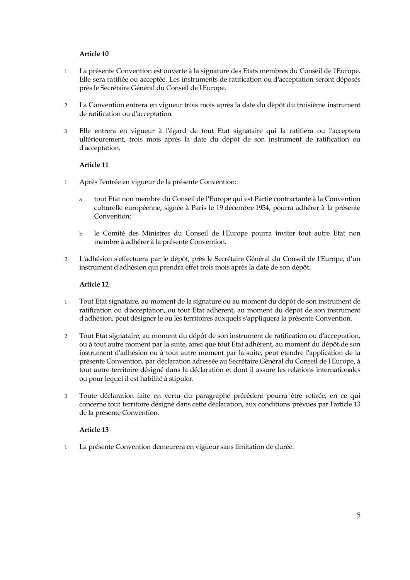- 1 La présente Convention est ouverte à la signature des Etats membres du Conseil de l'Europe. Elle sera ratifiée ou acceptée. Les instruments de ratification ou d'acceptation seront déposés près le Secrétaire Général du Conseil de l'Europe.
- 2 La Convention entrera en vigueur trois mois après la date du dépôt du troisième instrument de ratification ou d'acceptation.
- 3 Elle entrera en vigueur à l'égard de tout Etat signataire qui la ratifiera ou l'acceptera ultérieurement, trois mois après la date du dépôt de son instrument de ratification ou d'acceptation.

# **Article 11**

- 1 Après l'entrée en vigueur de la présente Convention:
	- a tout Etat non membre du Conseil de l'Europe qui est Partie contractante à la Convention culturelle européenne, signée à Paris le 19 décembre 1954, pourra adhérer à la présente Convention;
	- b le Comité des Ministres du Conseil de l'Europe pourra inviter tout autre Etat non membre à adhérer à la présente Convention.
- 2 L'adhésion s'effectuera par le dépôt, près le Secrétaire Général du Conseil de l'Europe, d'un instrument d'adhésion qui prendra effet trois mois après la date de son dépôt.

## **Article 12**

- 1 Tout Etat signataire, au moment de la signature ou au moment du dépôt de son instrument de ratification ou d'acceptation, ou tout Etat adhérent, au moment du dépôt de son instrument d'adhésion, peut désigner le ou les territoires auxquels s'appliquera la présente Convention.
- 2 Tout Etat signataire, au moment du dépôt de son instrument de ratification ou d'acceptation, ou à tout autre moment par la suite, ainsi que tout Etat adhérent, au moment du dépôt de son instrument d'adhésion ou à tout autre moment par la suite, peut étendre l'application de la présente Convention, par déclaration adressée au Secrétaire Général du Conseil de l'Europe, à tout autre territoire désigné dans la déclaration et dont il assure les relations internationales ou pour lequel il est habilité à stipuler.
- 3 Toute déclaration faite en vertu du paragraphe précédent pourra être retirée, en ce qui concerne tout territoire désigné dans cette déclaration, aux conditions prévues par l'article 13 de la présente Convention.

# **Article 13**

1 La présente Convention demeurera en vigueur sans limitation de durée.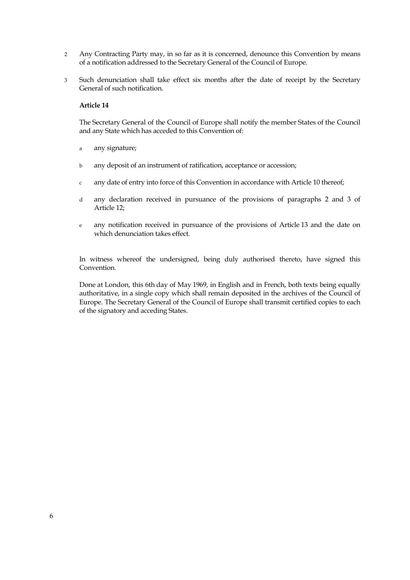- 2 Any Contracting Party may, in so far as it is concerned, denounce this Convention by means of a notification addressed to the Secretary General of the Council of Europe.
- 3 Such denunciation shall take effect six months after the date of receipt by the Secretary General of such notification.

The Secretary General of the Council of Europe shall notify the member States of the Council and any State which has acceded to this Convention of:

- a any signature;
- b any deposit of an instrument of ratification, acceptance or accession;
- c any date of entry into force of this Convention in accordance with Article 10 thereof;
- d any declaration received in pursuance of the provisions of paragraphs 2 and 3 of Article 12;
- e any notification received in pursuance of the provisions of Article 13 and the date on which denunciation takes effect.

In witness whereof the undersigned, being duly authorised thereto, have signed this Convention.

Done at London, this 6th day of May 1969, in English and in French, both texts being equally authoritative, in a single copy which shall remain deposited in the archives of the Council of Europe. The Secretary General of the Council of Europe shall transmit certified copies to each of the signatory and acceding States.